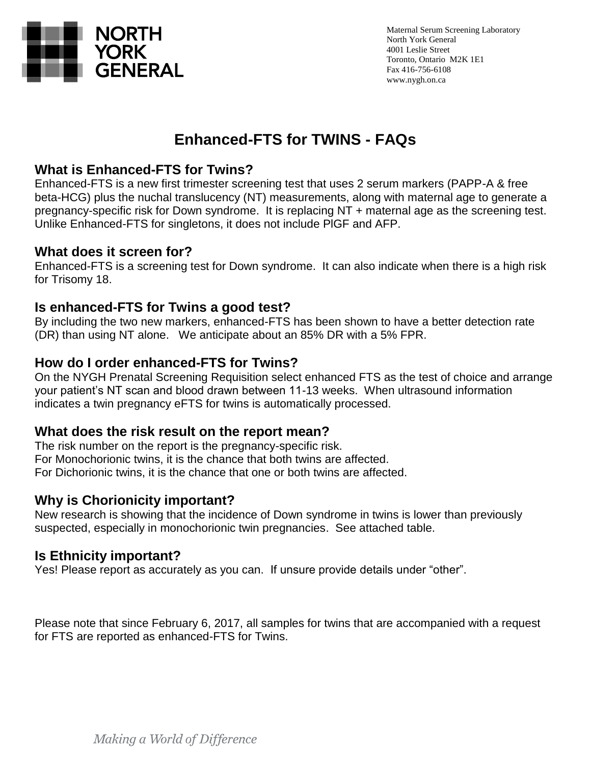

# **Enhanced-FTS for TWINS - FAQs**

## **What is Enhanced-FTS for Twins?**

Enhanced-FTS is a new first trimester screening test that uses 2 serum markers (PAPP-A & free beta-HCG) plus the nuchal translucency (NT) measurements, along with maternal age to generate a pregnancy-specific risk for Down syndrome. It is replacing NT + maternal age as the screening test. Unlike Enhanced-FTS for singletons, it does not include PlGF and AFP.

## **What does it screen for?**

Enhanced-FTS is a screening test for Down syndrome. It can also indicate when there is a high risk for Trisomy 18.

## **Is enhanced-FTS for Twins a good test?**

By including the two new markers, enhanced-FTS has been shown to have a better detection rate (DR) than using NT alone. We anticipate about an 85% DR with a 5% FPR.

### **How do I order enhanced-FTS for Twins?**

On the NYGH Prenatal Screening Requisition select enhanced FTS as the test of choice and arrange your patient's NT scan and blood drawn between 11-13 weeks. When ultrasound information indicates a twin pregnancy eFTS for twins is automatically processed.

### **What does the risk result on the report mean?**

The risk number on the report is the pregnancy-specific risk. For Monochorionic twins, it is the chance that both twins are affected. For Dichorionic twins, it is the chance that one or both twins are affected.

## **Why is Chorionicity important?**

New research is showing that the incidence of Down syndrome in twins is lower than previously suspected, especially in monochorionic twin pregnancies. See attached table.

### **Is Ethnicity important?**

Yes! Please report as accurately as you can. If unsure provide details under "other".

Please note that since February 6, 2017, all samples for twins that are accompanied with a request for FTS are reported as enhanced-FTS for Twins.